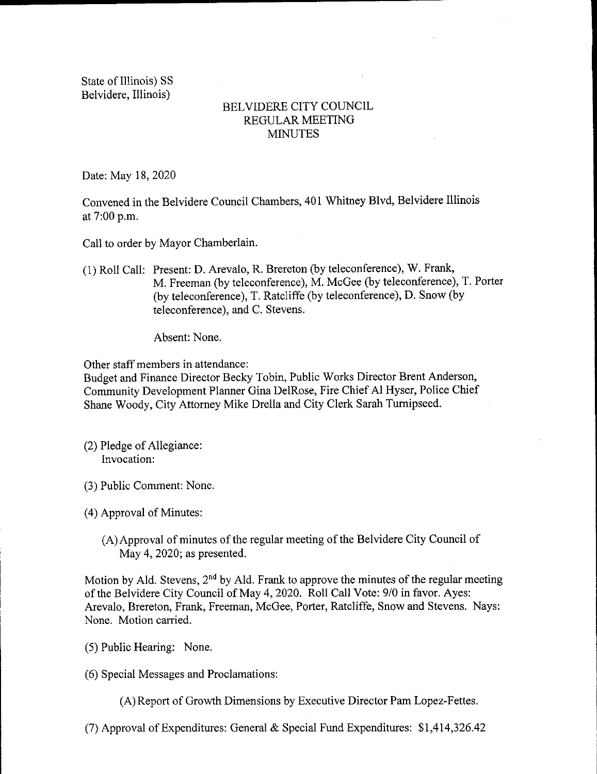State of Illinois) SS Belvidere, Illinois)

## BELVIDERE CITY COUNCIL REGULAR MEETING **MINUTES**

Date: May 18, 2020

Convened in the Belvidere Council Chambers, 401 Whitney Blvd, Belvidere Illinois at 7:00 p.m.

Call to order by Mayor Chamberlain.

1) Roll Call: Present: D. Arevalo, R. Brereton( by teleconference), W. Frank, M. Freeman( by teleconference), M. McGee (by teleconference), T. Porter by teleconference), T. Ratcliffe ( by teleconference), D. Snow( by teleconference), and C. Stevens.

Absent: None.

Other staff members in attendance:

Budget and Finance Director Becky Tobin, Public Works Director Brent Anderson, Community Development Planner Gina DelRose, Fire Chief Al Hyser, Police Chief Shane Woody, City Attorney Mike Drella and City Clerk Sarah Turnipseed.

- 2) Pledge of Allegiance: Invocation:
- 3) Public Comment: None.

4) Approval of Minutes:

A) Approval of minutes of the regular meeting of the Belvidere City Council of May 4, 2020; as presented.

Motion by Ald. Stevens, 2<sup>nd</sup> by Ald. Frank to approve the minutes of the regular meeting of the Belvidere City Council of May 4, 2020. Roll Call Vote: 9/0 in favor. Ayes: Arevalo, Brereton, Frank, Freeman, McGee, Porter, Ratcliffe, Snow and Stevens. Nays: None. Motion carried.

- 5) Public Hearing: None.
- 6) Special Messages and Proclamations:

A) Report of Growth Dimensions by Executive Director Pam Lopez-Fettes.

7) Approval of Expenditures: General & Special Fund Expenditures: \$ 1, 414, 326. 42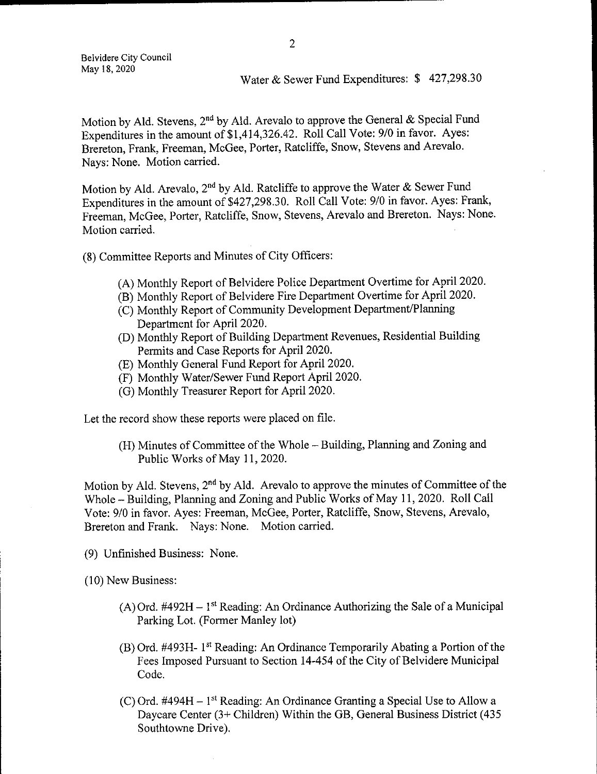Belvidere City Council May 18, 2020

## Water & Sewer Fund Expenditures: \$427,298.30

Motion by Ald. Stevens,  $2<sup>nd</sup>$  by Ald. Arevalo to approve the General & Special Fund Expenditures in the amount of \$1,414,326.42. Roll Call Vote: 9/0 in favor. Ayes: Brereton, Frank, Freeman, McGee, Porter, Ratcliffe, Snow, Stevens and Arevalo. Nays: None. Motion carried.

Motion by Ald. Arevalo, 2<sup>nd</sup> by Ald. Ratcliffe to approve the Water & Sewer Fund Expenditures in the amount of \$427, 298.30. Roll Call Vote: 9/0 in favor. Ayes: Frank, Freeman, McGee, Porter, Ratcliffe, Snow, Stevens, Arevalo and Brereton. Nays: None. Motion carried.

8) Committee Reports and Minutes of City Officers:

- A) Monthly Report of Belvidere Police Department Overtime for April 2020.
- B) Monthly Report of Belvidere Fire Department Overtime for April 2020.
- (C) Monthly Report of Community Development Department/Planning Department for April 2020.
- D) Monthly Report of Building Department Revenues, Residential Building Permits and Case Reports for April 2020.
- E) Monthly General Fund Report for April 2020.
- F) Monthly Water/ Sewer Fund Report April 2020.
- G) Monthly Treasurer Report for April 2020.

Let the record show these reports were placed on file.

H) Minutes of Committee of the Whole— Building, Planning and Zoning and Public Works of May 11, 2020.

Motion by Ald. Stevens,  $2<sup>nd</sup>$  by Ald. Arevalo to approve the minutes of Committee of the Whole— Building, Planning and Zoning and Public Works of May 11, 2020. Roll Call Vote: 9/0 in favor. Ayes: Freeman, McGee, Porter, Ratcliffe, Snow, Stevens, Arevalo, Brereton and Frank. Nays: None. Motion carried.

9) Unfinished Business: None.

10) New Business:

- $(A)$  Ord. #492H 1<sup>st</sup> Reading: An Ordinance Authorizing the Sale of a Municipal Parking Lot. (Former Manley lot)
- $(B)$  Ord. #493H- 1<sup>st</sup> Reading: An Ordinance Temporarily Abating a Portion of the Fees Imposed Pursuant to Section 14-454 of the City of Belvidere Municipal Code.
- (C) Ord.  $\#494H 1$ <sup>st</sup> Reading: An Ordinance Granting a Special Use to Allow a Daycare Center (3+ Children) Within the GB, General Business District (435 Southtowne Drive).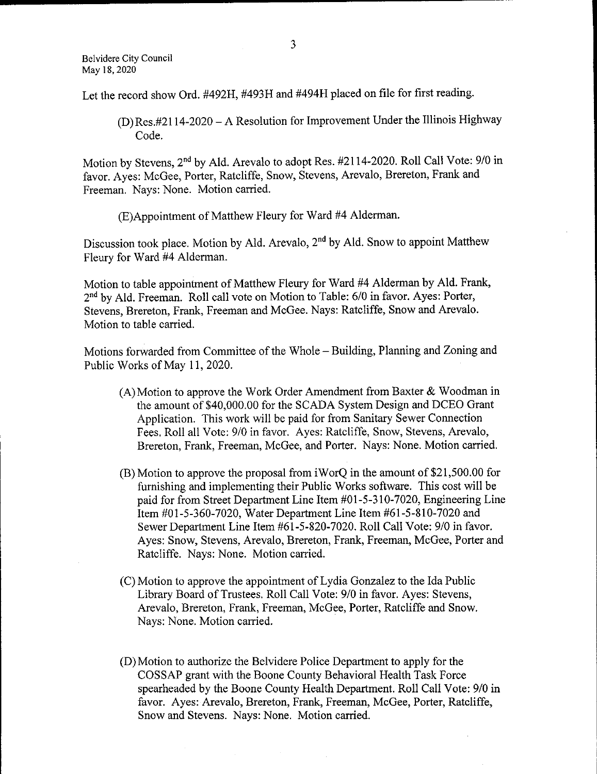Let the record show Ord. #492H, #493H and #494H placed on file for first reading.

 $(D)$  Res.#2114-2020 – A Resolution for Improvement Under the Illinois Highway Code.

Motion by Stevens, 2<sup>nd</sup> by Ald. Arevalo to adopt Res. #2114-2020. Roll Call Vote: 9/0 in favor. Ayes: McGee, Porter, Ratcliffe, Snow, Stevens, Arevalo, Brereton, Frank and Freeman. Nays: None. Motion carried.

E)Appointment of Matthew Fleury for Ward 44 Alderman.

Discussion took place. Motion by Ald. Arevalo, 2nd by Ald. Snow to appoint Matthew Fleury for Ward #4 Alderman.

Motion to table appointment of Matthew Fleury for Ward #4 Alderman by Ald. Frank, 2<sup>nd</sup> by Ald. Freeman. Roll call vote on Motion to Table: 6/0 in favor. Ayes: Porter, Stevens, Brereton, Frank, Freeman and McGee. Nays: Ratcliffe, Snow and Arevalo. Motion to table carried.

Motions forwarded from Committee of the Whole— Building, Planning and Zoning and Public Works of May 11, 2020.

- $(A)$  Motion to approve the Work Order Amendment from Baxter & Woodman in the amount of \$40,000.00 for the SCADA System Design and DCEO Grant Application. This work will be paid for from Sanitary Sewer Connection Fees. Roll all Vote: 9/0 in favor. Ayes: Ratcliffe, Snow, Stevens, Arevalo, Brereton, Frank, Freeman, McGee, and Porter. Nays: None. Motion carried.
- $(B)$  Motion to approve the proposal from iWorQ in the amount of \$21,500.00 for furnishing and implementing their Public Works software. This cost will be paid for from Street Department Line Item #01-5-310-7020, Engineering Line Item #01-5-360-7020, Water Department Line Item #61-5-810-7020 and Sewer Department Line Item # 61- 5- 820- 7020. Roll Call Vote: 9/0 in favor. Ayes: Snow, Stevens, Arevalo, Brereton, Frank, Freeman, McGee, Porter and Ratcliffe. Nays: None. Motion carried.
- C) Motion to approve the appointment of Lydia Gonzalez to the Ida Public Library Board of Trustees. Roll Call Vote: 9/0 in favor. Ayes: Stevens, Arevalo, Brereton, Frank, Freeman, McGee, Porter, Ratcliffe and Snow. Nays: None. Motion carried.
- D) Motion to authorize the Belvidere Police Department to apply for the COSSAP grant with the Boone County Behavioral Health Task Force spearheaded by the Boone County Health Department. Roll Call Vote: 9/0 in favor. Ayes: Arevalo, Brereton, Frank, Freeman, McGee, Porter, Ratcliffe, Snow and Stevens. Nays: None. Motion carried.